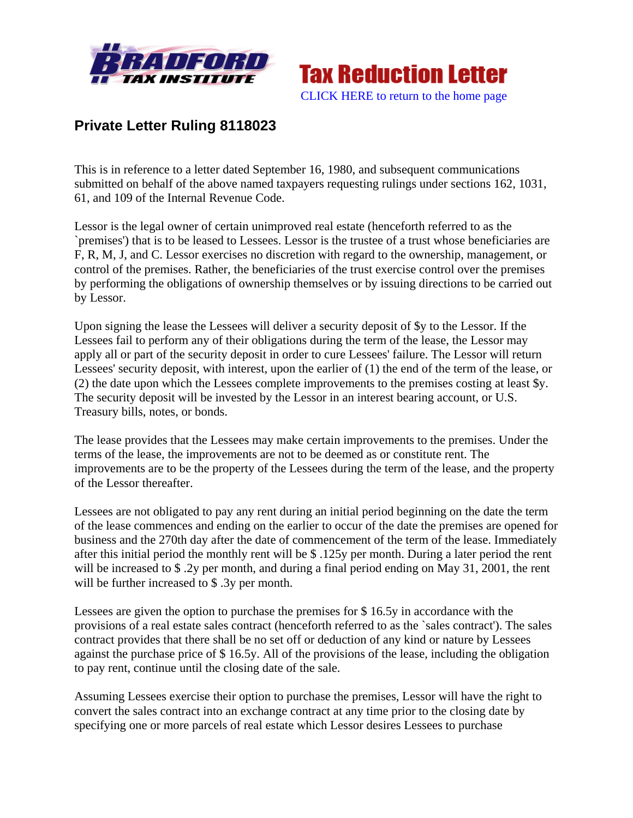



## **Private Letter Ruling 8118023**

This is in reference to a letter dated September 16, 1980, and subsequent communications submitted on behalf of the above named taxpayers requesting rulings under sections 162, 1031, 61, and 109 of the Internal Revenue Code.

Lessor is the legal owner of certain unimproved real estate (henceforth referred to as the `premises') that is to be leased to Lessees. Lessor is the trustee of a trust whose beneficiaries are F, R, M, J, and C. Lessor exercises no discretion with regard to the ownership, management, or control of the premises. Rather, the beneficiaries of the trust exercise control over the premises by performing the obligations of ownership themselves or by issuing directions to be carried out by Lessor.

Upon signing the lease the Lessees will deliver a security deposit of \$y to the Lessor. If the Lessees fail to perform any of their obligations during the term of the lease, the Lessor may apply all or part of the security deposit in order to cure Lessees' failure. The Lessor will return Lessees' security deposit, with interest, upon the earlier of (1) the end of the term of the lease, or (2) the date upon which the Lessees complete improvements to the premises costing at least \$y. The security deposit will be invested by the Lessor in an interest bearing account, or U.S. Treasury bills, notes, or bonds.

The lease provides that the Lessees may make certain improvements to the premises. Under the terms of the lease, the improvements are not to be deemed as or constitute rent. The improvements are to be the property of the Lessees during the term of the lease, and the property of the Lessor thereafter.

Lessees are not obligated to pay any rent during an initial period beginning on the date the term of the lease commences and ending on the earlier to occur of the date the premises are opened for business and the 270th day after the date of commencement of the term of the lease. Immediately after this initial period the monthly rent will be \$ .125y per month. During a later period the rent will be increased to \$.2y per month, and during a final period ending on May 31, 2001, the rent will be further increased to \$ .3y per month.

Lessees are given the option to purchase the premises for \$ 16.5y in accordance with the provisions of a real estate sales contract (henceforth referred to as the `sales contract'). The sales contract provides that there shall be no set off or deduction of any kind or nature by Lessees against the purchase price of \$ 16.5y. All of the provisions of the lease, including the obligation to pay rent, continue until the closing date of the sale.

Assuming Lessees exercise their option to purchase the premises, Lessor will have the right to convert the sales contract into an exchange contract at any time prior to the closing date by specifying one or more parcels of real estate which Lessor desires Lessees to purchase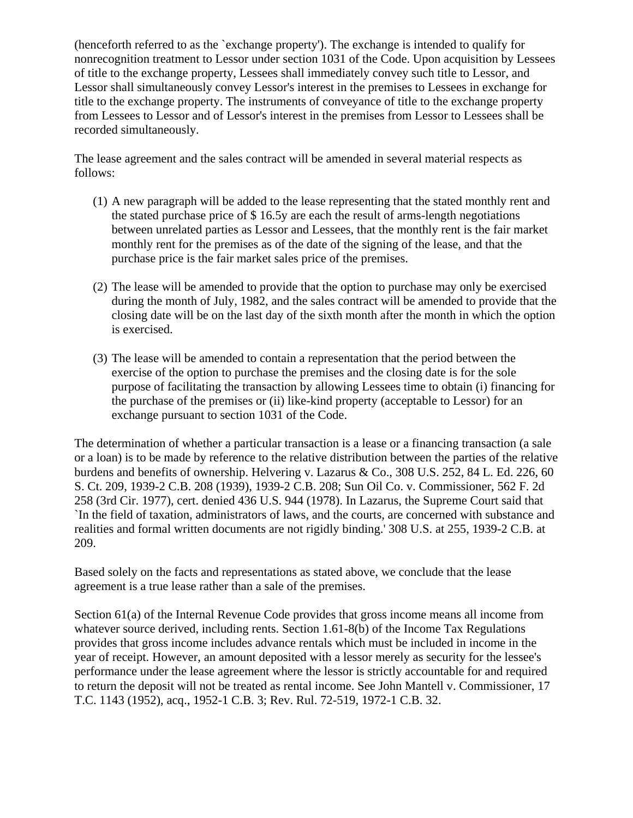(henceforth referred to as the `exchange property'). The exchange is intended to qualify for nonrecognition treatment to Lessor under section 1031 of the Code. Upon acquisition by Lessees of title to the exchange property, Lessees shall immediately convey such title to Lessor, and Lessor shall simultaneously convey Lessor's interest in the premises to Lessees in exchange for title to the exchange property. The instruments of conveyance of title to the exchange property from Lessees to Lessor and of Lessor's interest in the premises from Lessor to Lessees shall be recorded simultaneously.

The lease agreement and the sales contract will be amended in several material respects as follows:

- (1) A new paragraph will be added to the lease representing that the stated monthly rent and the stated purchase price of \$ 16.5y are each the result of arms-length negotiations between unrelated parties as Lessor and Lessees, that the monthly rent is the fair market monthly rent for the premises as of the date of the signing of the lease, and that the purchase price is the fair market sales price of the premises.
- (2) The lease will be amended to provide that the option to purchase may only be exercised during the month of July, 1982, and the sales contract will be amended to provide that the closing date will be on the last day of the sixth month after the month in which the option is exercised.
- (3) The lease will be amended to contain a representation that the period between the exercise of the option to purchase the premises and the closing date is for the sole purpose of facilitating the transaction by allowing Lessees time to obtain (i) financing for the purchase of the premises or (ii) like-kind property (acceptable to Lessor) for an exchange pursuant to section 1031 of the Code.

The determination of whether a particular transaction is a lease or a financing transaction (a sale or a loan) is to be made by reference to the relative distribution between the parties of the relative burdens and benefits of ownership. Helvering v. Lazarus & Co., 308 U.S. 252, 84 L. Ed. 226, 60 S. Ct. 209, 1939-2 C.B. 208 (1939), 1939-2 C.B. 208; Sun Oil Co. v. Commissioner, 562 F. 2d 258 (3rd Cir. 1977), cert. denied 436 U.S. 944 (1978). In Lazarus, the Supreme Court said that `In the field of taxation, administrators of laws, and the courts, are concerned with substance and realities and formal written documents are not rigidly binding.' 308 U.S. at 255, 1939-2 C.B. at 209.

Based solely on the facts and representations as stated above, we conclude that the lease agreement is a true lease rather than a sale of the premises.

Section 61(a) of the Internal Revenue Code provides that gross income means all income from whatever source derived, including rents. Section 1.61-8(b) of the Income Tax Regulations provides that gross income includes advance rentals which must be included in income in the year of receipt. However, an amount deposited with a lessor merely as security for the lessee's performance under the lease agreement where the lessor is strictly accountable for and required to return the deposit will not be treated as rental income. See John Mantell v. Commissioner, 17 T.C. 1143 (1952), acq., 1952-1 C.B. 3; Rev. Rul. 72-519, 1972-1 C.B. 32.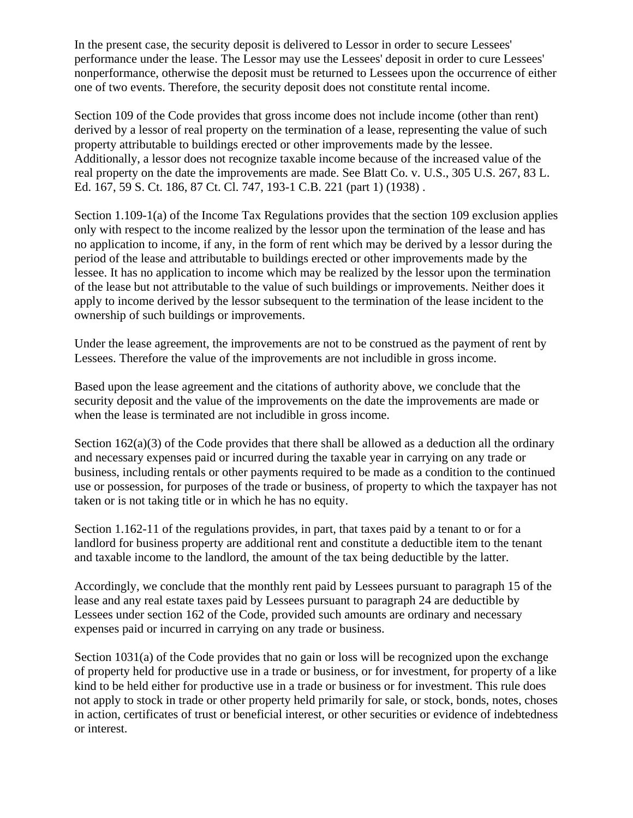In the present case, the security deposit is delivered to Lessor in order to secure Lessees' performance under the lease. The Lessor may use the Lessees' deposit in order to cure Lessees' nonperformance, otherwise the deposit must be returned to Lessees upon the occurrence of either one of two events. Therefore, the security deposit does not constitute rental income.

Section 109 of the Code provides that gross income does not include income (other than rent) derived by a lessor of real property on the termination of a lease, representing the value of such property attributable to buildings erected or other improvements made by the lessee. Additionally, a lessor does not recognize taxable income because of the increased value of the real property on the date the improvements are made. See Blatt Co. v. U.S., 305 U.S. 267, 83 L. Ed. 167, 59 S. Ct. 186, 87 Ct. Cl. 747, 193-1 C.B. 221 (part 1) (1938) .

Section 1.109-1(a) of the Income Tax Regulations provides that the section 109 exclusion applies only with respect to the income realized by the lessor upon the termination of the lease and has no application to income, if any, in the form of rent which may be derived by a lessor during the period of the lease and attributable to buildings erected or other improvements made by the lessee. It has no application to income which may be realized by the lessor upon the termination of the lease but not attributable to the value of such buildings or improvements. Neither does it apply to income derived by the lessor subsequent to the termination of the lease incident to the ownership of such buildings or improvements.

Under the lease agreement, the improvements are not to be construed as the payment of rent by Lessees. Therefore the value of the improvements are not includible in gross income.

Based upon the lease agreement and the citations of authority above, we conclude that the security deposit and the value of the improvements on the date the improvements are made or when the lease is terminated are not includible in gross income.

Section 162(a)(3) of the Code provides that there shall be allowed as a deduction all the ordinary and necessary expenses paid or incurred during the taxable year in carrying on any trade or business, including rentals or other payments required to be made as a condition to the continued use or possession, for purposes of the trade or business, of property to which the taxpayer has not taken or is not taking title or in which he has no equity.

Section 1.162-11 of the regulations provides, in part, that taxes paid by a tenant to or for a landlord for business property are additional rent and constitute a deductible item to the tenant and taxable income to the landlord, the amount of the tax being deductible by the latter.

Accordingly, we conclude that the monthly rent paid by Lessees pursuant to paragraph 15 of the lease and any real estate taxes paid by Lessees pursuant to paragraph 24 are deductible by Lessees under section 162 of the Code, provided such amounts are ordinary and necessary expenses paid or incurred in carrying on any trade or business.

Section 1031(a) of the Code provides that no gain or loss will be recognized upon the exchange of property held for productive use in a trade or business, or for investment, for property of a like kind to be held either for productive use in a trade or business or for investment. This rule does not apply to stock in trade or other property held primarily for sale, or stock, bonds, notes, choses in action, certificates of trust or beneficial interest, or other securities or evidence of indebtedness or interest.